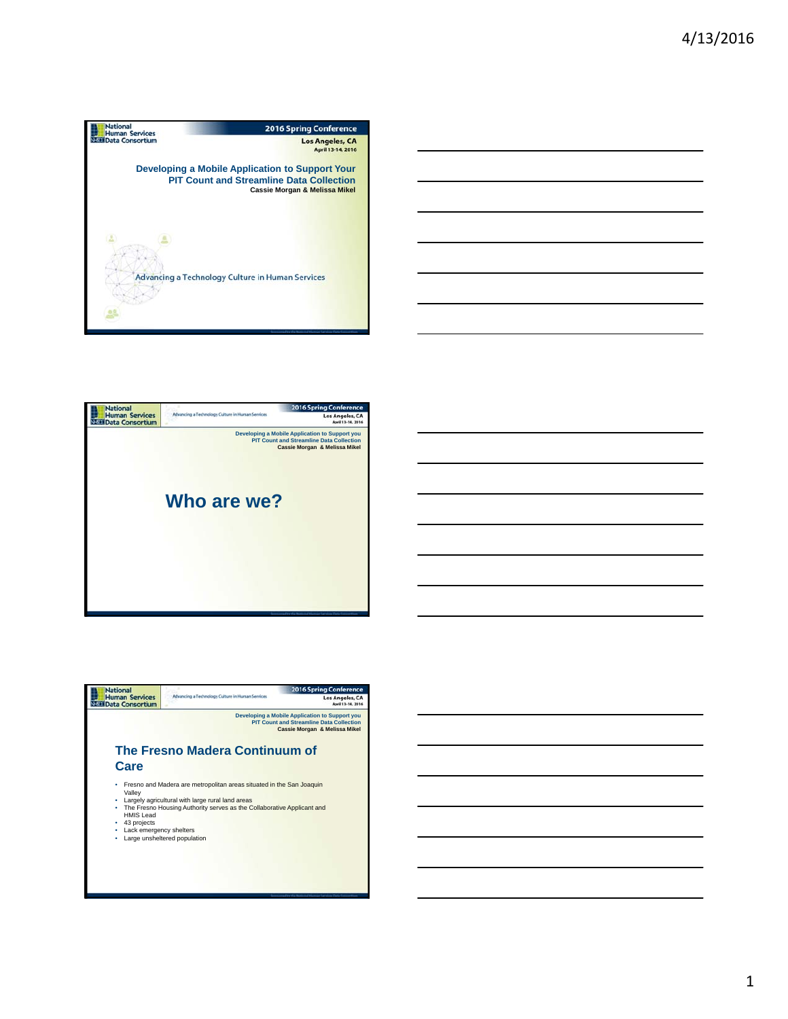





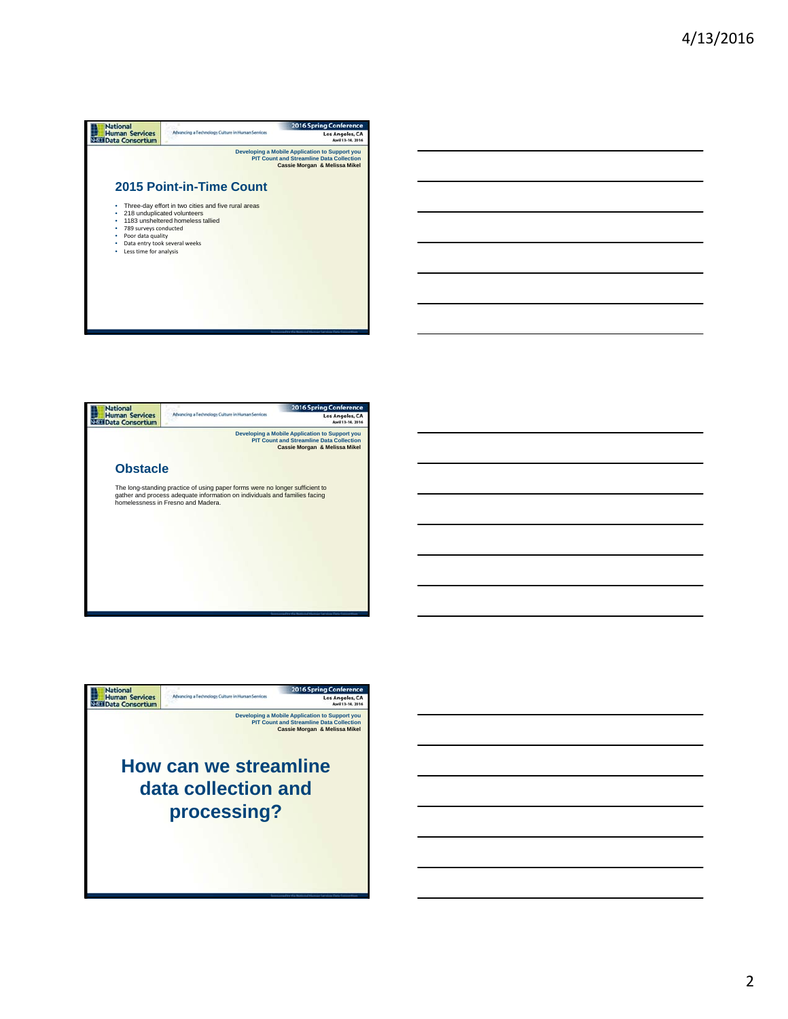





2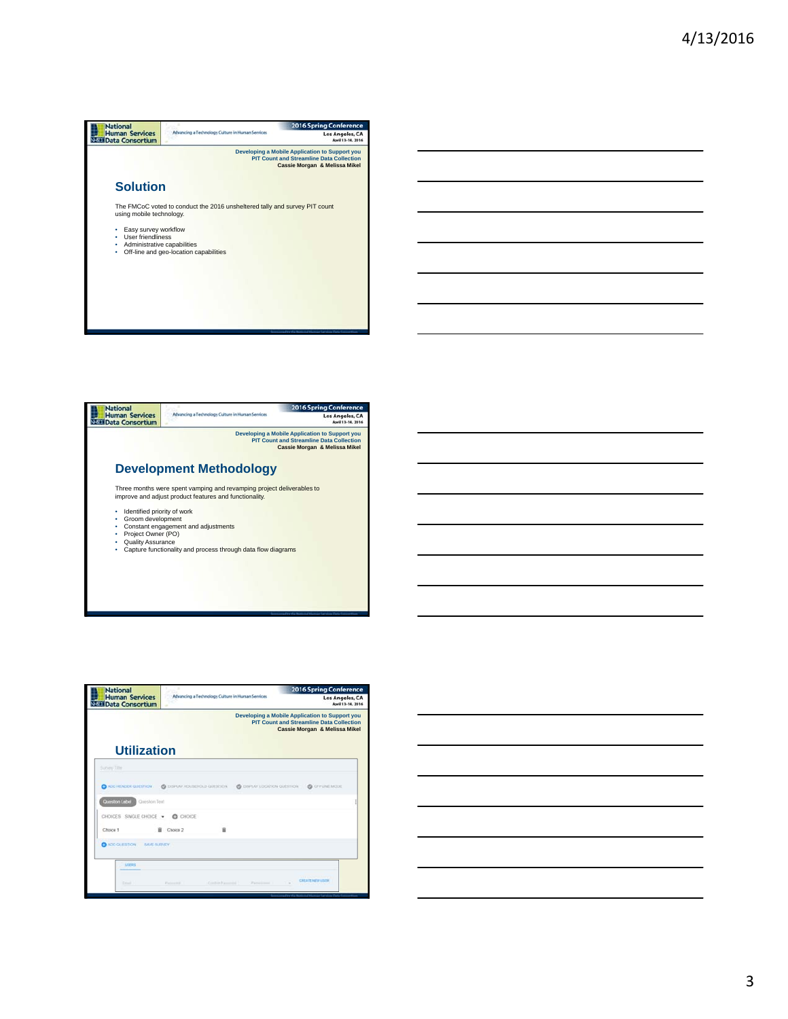



| <b>National</b><br><b>Human Services</b><br><b>NESE Data Consortium</b> | Advancing a Technology Culture in Human Services |                                                                                                                                    | <b>2016 Spring Conference</b><br>Los Angeles, CA<br>April 13-14, 2016 |  |  |
|-------------------------------------------------------------------------|--------------------------------------------------|------------------------------------------------------------------------------------------------------------------------------------|-----------------------------------------------------------------------|--|--|
|                                                                         |                                                  | Developing a Mobile Application to Support you<br><b>PIT Count and Streamline Data Collection</b><br>Cassie Morgan & Melissa Mikel |                                                                       |  |  |
| <b>Utilization</b>                                                      |                                                  |                                                                                                                                    |                                                                       |  |  |
| Survey Title                                                            |                                                  |                                                                                                                                    |                                                                       |  |  |
| ADD HEADER QUESTION                                                     | C DISPLAY/HOUSEHOLD QUESTION :                   | C DISPLAY LOCATION QUESTION                                                                                                        | @ OFFUNE MODE                                                         |  |  |
| Question Label<br>Question Text                                         |                                                  |                                                                                                                                    |                                                                       |  |  |
| CHOICES SINGLE CHOICE .                                                 | CHOICE                                           |                                                                                                                                    |                                                                       |  |  |
| Choice 1                                                                | ŵ<br>盲<br>Choice 2                               |                                                                                                                                    |                                                                       |  |  |
| ADD QUESTION<br><b>MVE BURVEY</b>                                       |                                                  |                                                                                                                                    |                                                                       |  |  |
| <b>USERS</b>                                                            |                                                  |                                                                                                                                    |                                                                       |  |  |
|                                                                         |                                                  |                                                                                                                                    |                                                                       |  |  |
| <b>Crisis</b>                                                           | Contact Insurance<br>Patrick                     | Parrick Lines                                                                                                                      | <b>CREATE NEW USER</b><br>$\sim$                                      |  |  |
|                                                                         |                                                  |                                                                                                                                    |                                                                       |  |  |



3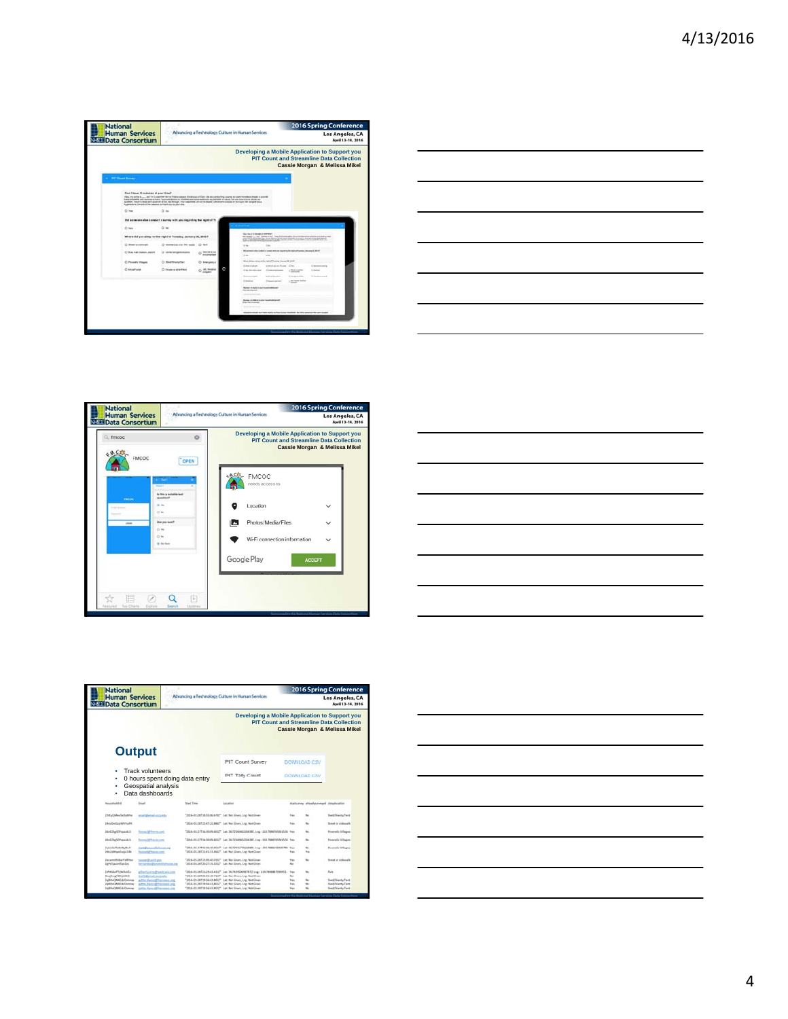| <b>National</b><br><b>Human Services</b><br><b>NEED Data Consortium</b>                                | Advancing a Technology Culture in Human Services                            |                          |                                                                                                                                                                                                                                                                                                                                                                                                                                            |                                                                                                      |                   | <b>2016 Spring Conference</b>                                                    | Los Angeles, CA<br>April 13-14, 2016 |
|--------------------------------------------------------------------------------------------------------|-----------------------------------------------------------------------------|--------------------------|--------------------------------------------------------------------------------------------------------------------------------------------------------------------------------------------------------------------------------------------------------------------------------------------------------------------------------------------------------------------------------------------------------------------------------------------|------------------------------------------------------------------------------------------------------|-------------------|----------------------------------------------------------------------------------|--------------------------------------|
|                                                                                                        |                                                                             |                          | Developing a Mobile Application to Support you                                                                                                                                                                                                                                                                                                                                                                                             |                                                                                                      |                   | <b>PIT Count and Streamline Data Collection</b><br>Cassie Morgan & Melissa Mikel |                                      |
| 4 RT Quart Survey                                                                                      |                                                                             |                          |                                                                                                                                                                                                                                                                                                                                                                                                                                            |                                                                                                      |                   |                                                                                  |                                      |
| Can I lines 10 minutes at your time?<br>furnished at the anti-of the caseses to frust year to play the |                                                                             |                          | HELL PS LEFTE B.  AND THE A ABANTARY OF YOUR CARRIER CONSTRUCTION FOR AN ASSOCIATED A WATER OF CARRY FOR MINOR PRODUCTS.<br>babar programma and commission thanks "hourisand players or develops and expressionistics aperperisons as cubules to make the share may since network any<br>qualitant, cheart to shad and countries all the near through. Your copieshed unificated and want of administration that the fourth for states and |                                                                                                      |                   |                                                                                  |                                      |
| O We                                                                                                   | O M                                                                         |                          |                                                                                                                                                                                                                                                                                                                                                                                                                                            |                                                                                                      |                   |                                                                                  |                                      |
|                                                                                                        | That excrements also computed a survey with your regarding the regist of Tu |                          |                                                                                                                                                                                                                                                                                                                                                                                                                                            |                                                                                                      |                   |                                                                                  |                                      |
| Cl Hat                                                                                                 | O.16                                                                        |                          | <b>Contract Contract</b>                                                                                                                                                                                                                                                                                                                                                                                                                   |                                                                                                      |                   |                                                                                  |                                      |
|                                                                                                        | Where did you slaug on the night of Tuesday, Jenuary 26, 2016?              |                          | San Frank & Alexandra Addressed<br>the State Council, Telemanical                                                                                                                                                                                                                                                                                                                                                                          | of below the air was awaren of this. Delivery from                                                   |                   |                                                                                  |                                      |
| C Bearingstreets                                                                                       | O members car. Ni mold . O Rett                                             |                          | $-114$                                                                                                                                                                                                                                                                                                                                                                                                                                     | 1.16                                                                                                 |                   |                                                                                  |                                      |
| C But ket staten, aren't                                                                               | C 14 de testamentos                                                         | <b>TRIAL BEAM</b>        |                                                                                                                                                                                                                                                                                                                                                                                                                                            | Will designed information of normal activities in production include furnished about a little at the |                   |                                                                                  |                                      |
|                                                                                                        |                                                                             | enconcrited              | <b>STAND</b>                                                                                                                                                                                                                                                                                                                                                                                                                               | <b>Side</b><br>Most drips, since only symptomize Amery & Artist                                      |                   |                                                                                  |                                      |
| C Phoenix Village                                                                                      | C Smithwister                                                               | C) Imesence              | 3 And in pipeas                                                                                                                                                                                                                                                                                                                                                                                                                            | C level on on N.Holtz, C. Tax.                                                                       |                   | <b>Commercial</b>                                                                |                                      |
| C Moshune                                                                                              | C) House or interfined                                                      | O ALMINIA<br><b>SHAW</b> | c<br>U by texts and                                                                                                                                                                                                                                                                                                                                                                                                                        | 2 statements                                                                                         | of Stakes         | 2 tons                                                                           |                                      |
|                                                                                                        |                                                                             |                          | It found that                                                                                                                                                                                                                                                                                                                                                                                                                              | 3 - Brackley school                                                                                  | IT became wider   | di Tanding'scoria                                                                |                                      |
|                                                                                                        |                                                                             |                          | 0-leased                                                                                                                                                                                                                                                                                                                                                                                                                                   | Ensensing                                                                                            | to McAyeld Indian |                                                                                  |                                      |
|                                                                                                        |                                                                             |                          | Business of printing to purchase the problems and<br><b>But the Service</b>                                                                                                                                                                                                                                                                                                                                                                |                                                                                                      |                   |                                                                                  |                                      |
|                                                                                                        |                                                                             |                          |                                                                                                                                                                                                                                                                                                                                                                                                                                            |                                                                                                      |                   |                                                                                  |                                      |
|                                                                                                        |                                                                             |                          | <b>Business of this does the construction of the Constitution of the Constitution of the Constitution of the Constitution of the Constitution of the Constitution of the Constitution of the Constitution of the Constitution of</b><br><b>See the engineer</b>                                                                                                                                                                            |                                                                                                      |                   |                                                                                  |                                      |
|                                                                                                        |                                                                             |                          |                                                                                                                                                                                                                                                                                                                                                                                                                                            |                                                                                                      |                   |                                                                                  |                                      |
|                                                                                                        |                                                                             |                          |                                                                                                                                                                                                                                                                                                                                                                                                                                            | counter that is not installed and should be concerned and individuals                                |                   |                                                                                  |                                      |
|                                                                                                        |                                                                             |                          |                                                                                                                                                                                                                                                                                                                                                                                                                                            |                                                                                                      |                   |                                                                                  |                                      |
|                                                                                                        |                                                                             |                          |                                                                                                                                                                                                                                                                                                                                                                                                                                            |                                                                                                      |                   |                                                                                  |                                      |
|                                                                                                        |                                                                             |                          |                                                                                                                                                                                                                                                                                                                                                                                                                                            |                                                                                                      |                   |                                                                                  |                                      |





| the contract of the contract of the contract of the contract of the contract of |  |  |
|---------------------------------------------------------------------------------|--|--|

| <b>National</b><br><b>Human Services</b>                                                                         |                                                                                        | Advancing a Technology Culture in Human Services                                                                                                                                 |                                                                                                                                    | <b>2016 Spring Conference</b><br>Los Angeles, CA<br>April 13-14, 2016 |                                                                       |  |
|------------------------------------------------------------------------------------------------------------------|----------------------------------------------------------------------------------------|----------------------------------------------------------------------------------------------------------------------------------------------------------------------------------|------------------------------------------------------------------------------------------------------------------------------------|-----------------------------------------------------------------------|-----------------------------------------------------------------------|--|
| <b>Data Consortium</b>                                                                                           |                                                                                        |                                                                                                                                                                                  |                                                                                                                                    |                                                                       |                                                                       |  |
|                                                                                                                  |                                                                                        |                                                                                                                                                                                  | Developing a Mobile Application to Support you<br><b>PIT Count and Streamline Data Collection</b><br>Cassie Morgan & Melissa Mikel |                                                                       |                                                                       |  |
| <b>Output</b>                                                                                                    |                                                                                        |                                                                                                                                                                                  |                                                                                                                                    |                                                                       |                                                                       |  |
|                                                                                                                  |                                                                                        | PIT Count Survey                                                                                                                                                                 | DOWNLOAD CSV                                                                                                                       |                                                                       |                                                                       |  |
| Track volunteers<br>Geospatial analysis<br>٠<br>Data dashboards                                                  | 0 hours spent doing data entry                                                         | <b>PIT Tally Count</b>                                                                                                                                                           | DOWNE DAD CSV                                                                                                                      |                                                                       |                                                                       |  |
| <b>Household Id</b><br><b>Email</b>                                                                              | <b>Mart Time</b>                                                                       | Leistan                                                                                                                                                                          |                                                                                                                                    | statusnes alterdesponsed classication                                 |                                                                       |  |
| 198xQMenSelvWhe<br>analdwari cosab                                                                               |                                                                                        | "2016-01-28718:01:06:6762" Let Not Given, Lng: Not Given                                                                                                                         | <b>Title</b>                                                                                                                       |                                                                       | <b><i><u>Great Grand Cars</u></i></b>                                 |  |
| HouGedia/vehivude                                                                                                |                                                                                        | "2014-01-2472147-21 8862" Lat Not Green, Log: Not Green                                                                                                                          | <b>Trace</b>                                                                                                                       | $^{46}$                                                               | Street or chlessafe                                                   |  |
| ISHZSgSDPspzuK3<br><b>Sensi glassing</b>                                                                         |                                                                                        | "JEES-01-27T18;REIRAGET" Lat: 36, T25004E23043BT, Lng; -119, 788874915196, Yax                                                                                                   |                                                                                                                                    | to:                                                                   | Posemba Villages                                                      |  |
| <b>INGINOPAULS</b><br><b>Secret/Africans.com</b>                                                                 |                                                                                        | "2014-01-27736-5049-MIS2" Luc 36-72509402204387, Lng -115-7666-965915596 Pas-                                                                                                    |                                                                                                                                    | his.                                                                  | Poverella Villages                                                    |  |
| Controlled Subjects Adult<br>natifizmentlehous as<br>Info Date Mingola Ford of Today<br><b>Installation cont</b> |                                                                                        | "2014-01-27716-96-35:6542" Lat. 96.72111776446991_1+g: -119.7866138340795 Yae.<br>"2014-01-28T21-41/51-RAZ" Lat Not Gleen, Lng: Not Gleen                                        | <b>Tax</b>                                                                                                                         | m<br>bac                                                              | Poserwitz Villages                                                    |  |
| Incommittable Valifies<br>several avickans<br><b>IgHfSwwVliaCov</b>                                              | harvarding@posteriolishin.cot.ind                                                      | "2016-01-28721-05-AD-2532" Lat Not Given, Lng: Not Given<br>"2016-01-38T20-27:15.1532" Lat. Not Green, Lng: Not Green.                                                           | <b>Yas</b>                                                                                                                         | his.                                                                  | Stewart or sistemals                                                  |  |
| <b>UPASANTHANNA</b><br><b>District Revenue</b><br><b>Tricial whall mill auto</b>                                 | plied gampbell with an                                                                 | "2016-01-18721-29-A1-A112" Lac 36-NONNODNERYZ-LAU -115-TWHN87054991<br>72014-01-28720-15:19.7132" Let Not Given, Lng Not Given                                                   | To c<br>to:                                                                                                                        | <b>Park</b><br>to:                                                    |                                                                       |  |
| Hill Konf Mill Auf Germany<br>Tolkhad MAGLA Chammas<br><b>Salta La CAAKE de Crummar</b>                          | Artis Matund Pressures and<br>game hiarco@freshoeric.org<br>patte ManualPhistopher art | "2016-01-28T19-56-63.8032" Lat Not Gluen, Live Not Gluen-<br>"2016-01-24T19-56-KLMD32" Lun Non Green, Lng: Non Green<br>"2016-01-28T29/56/43.8052" Lat Not Green, Lig: Not Green | Too<br>Fes.<br><b>You</b>                                                                                                          | No.<br>has.<br>tic.                                                   | SheATShanty/Tant<br><b>Sted/Stundy/Tent</b><br><b>Und/Stanly/Tent</b> |  |

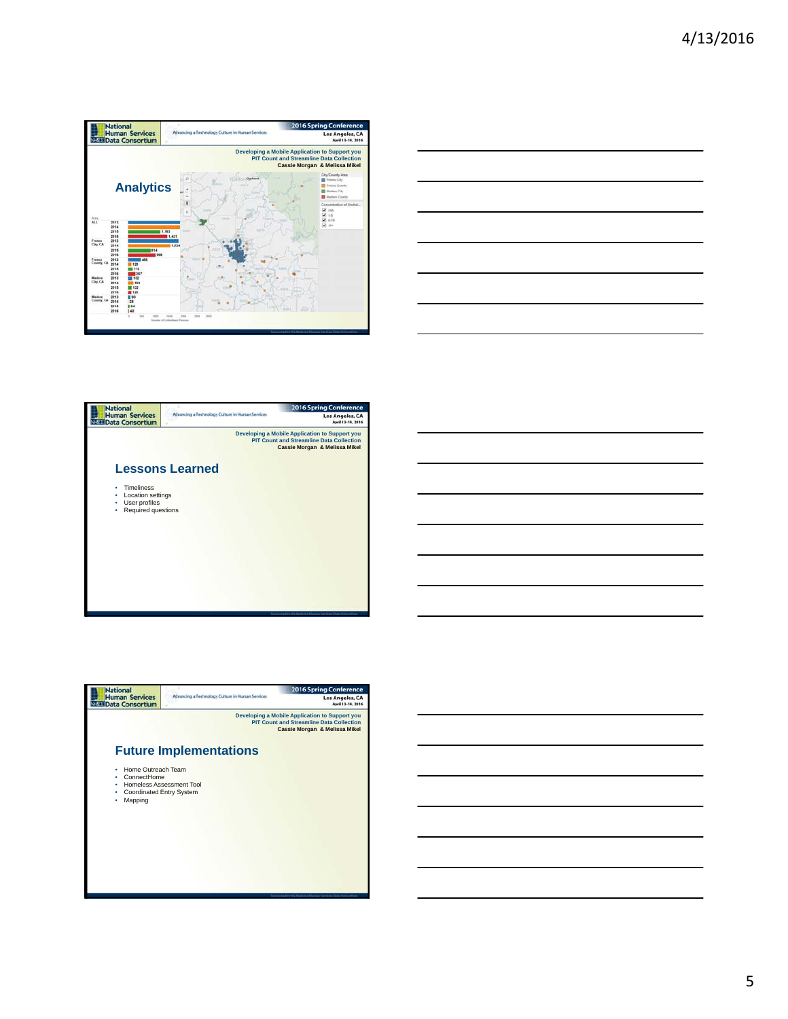





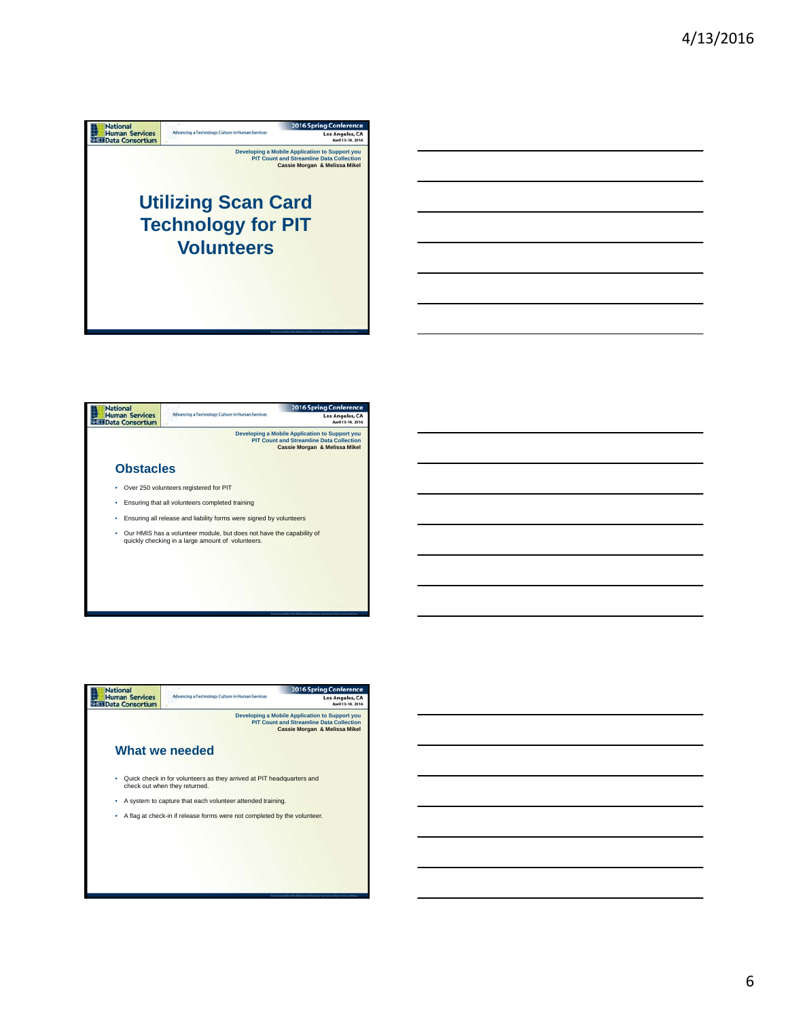





6